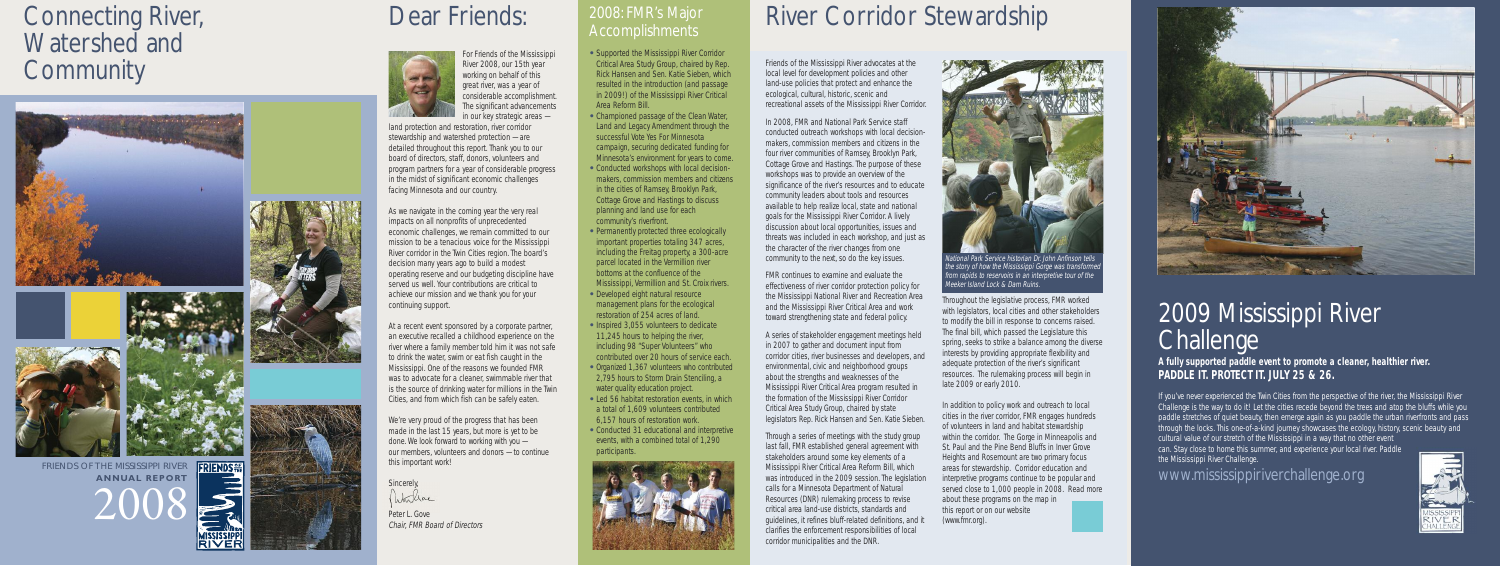Friends of the Mississippi River advocates at the local level for development policies and other land-use policies that protect and enhance the ecological, cultural, historic, scenic and recreational assets of the Missi ssi ppi River Corridor.

I n 2008, FMR and National Park Service staff conducted outreach workshops with local decisionmakers, commission members and citizens in the four river communities of Ramsey, Brooklyn Park, Cottage Grove and Hastings.The purpose of these workshops was to provide an overview of the significance of the river's resources and to educate community leaders about tools and resources available to help realize local, state and national goals for the Mississippi River Corridor. A lively discussion about local opportunities, issues and threats was included in each workshop, and just as the character of the river changes from one community to the next, so do the key issues.

FMR continues to examine and evaluate the effectiveness of river corridor protection policy for the Mississippi National River and Recreation Area and the Mississippi River Critical Area and work toward strengthening state and federal policy.

# River Corridor Stewardship

A series of stakeholder engagement meetings held in 2007 to gather and document input from corridor cities, river businesses and developers, and environmental, civic and neighborhood groups about the strengths and weaknesses of the Mississippi River Critical Area program resulted in the formation of the Mississippi River Corridor Critical Area Study Group, chaired by state legislators Rep. Rick Hansen and Sen. Katie Sieben.

In addition to policy work and outreach to local cities in the river corridor, FMR engages hundreds of volunteers in land and habitat stewardship within the corridor. The Gorge in Minneapolis and St. Paul and the Pine Bend Bl uffs i n I nver Grove Hei ghts and Rosemount are two pri mary focus areas for stewardshi p. Corridor education and interpretive programs continue to be popular and served close to 1,000 people in 2008. Read more about these programs on the map in this report or on our website (www.fmr.org) .



Through a series of meetings with the study group last fall, FMR established general agreement with stakeholders around some key elements of a Mississippi River Critical Area Reform Bill, which was introduced in the 2009 session. The legislation calls for a Minnesota Department of Natural Resources (DNR) rulemaking process to revise critical area land-use districts, standards and guidelines, it refines bluff-related definitions, and it clarifies the enforcement responsibilities of local corridor municipalities and the DNR.

land protection and restoration, river corridor stewardshi p and watershed protection — are detailed throughout this report. Thank you to our board of di rectors, staff, donors, vol unteers and program partners for a year of considerable progress in the midst of significant economic challenges faci ng Minnesota and our country.

As we navigate in the coming year the very real impacts on all nonprofits of unprecedented economic challenges, we remain committed to our mission to be a tenacious voice for the Mississippi River corridor in the Twin Cities region. The board's decision many years ago to build a modest operati ng reserve and our budgeti ng di sci pl i ne have served us well. Your contributions are critical to achieve our mission and we thank you for your conti nui ng support.

At a recent event sponsored by a corporate partner, an executive recalled a childhood experience on the river where a family member told him it was not safe to drink the water, swim or eat fish caught in the Mississippi. One of the reasons we founded FMR was to advocate for a cleaner, swimmable river that is the source of drinking water for millions in the Twin Cities, and from whi ch fish can be safely eaten.

We're very proud of the progress that has been made in the last 15 years, but more is yet to be done. We look forward to working with you our members, volunteers and donors - to continue thi s i mportant work!

Si ncerely, Whiliae

For Friends of the Missi ssi ppi River 2008, our 1 5th year working on behalf of this great river, was a year of considerabl e accompl i shment. The si gni ficant advancements i n our key strategi c areas —

- **Supported the Mississippi River Corridor** Critical Area Study Group, chaired by Rep. Rick Hansen and Sen. Katie Si eben, whi ch resulted in the introduction (and passage in 2009!) of the Mississippi River Critical Area Reform Bi l l .
- Championed passage of the Clean Water, Land and Legacy Amendment through the successful Vote Yes For Minnesota campaign, securing dedicated funding for Minnesota' s environment for years to come.
- Conducted workshops with local decisionmakers, commission members and citizens in the cities of Ramsey, Brooklyn Park, Cottage Grove and Hastings to discuss planning and land use for each community's riverfront.
- Permanently protected three ecologically important properties totaling 347 acres, i ncl udi ng the Frei tag property, a 300-acre parcel located in the Vermillion river bottoms at the confluence of the Mississippi, Vermillion and St. Croix rivers.
- Developed eight natural resource management plans for the ecological restoration of 254 acres of l and.
- Inspired 3,055 volunteers to dedicate 1 1 , 245 hours to hel pi ng the river, i ncl udi ng 98 " Super Vol unteers" who contri buted over 20 hours of service each.
- Organized 1,367 volunteers who contributed 2,795 hours to Storm Drain Stenciling, a water quality education project.
- Led 56 habitat restoration events, in which a total of 1 , 609 vol unteers contri buted 6, 1 57 hours of restoration work.
- Conducted 31 educational and interpretive events, with a combi ned total of 1 , 290 partici pants.



## Connecting River, Wate rshe d and **Community**





**FRIENDS <sub>Fre</sub>** FRIENDS OF THE MISSISSIPPI RIVER **A N N U A L R E P O R T** 200 8





# Dear Friends:



Peter L. Gove Chair, FMR Board of Directors

### 2008: FMR' s Maj o r A cco mplishme nts



from rapids to reservoirs in an interpretive tour of the Meeker Island Lock & Dam Ruins.

Throughout the legislative process, FMR worked with legislators, local cities and other stakeholders to modify the bill in response to concerns raised. The final bill, which passed the Legislature this spring, seeks to strike a balance among the diverse interests by providing appropriate flexibility and adequate protection of the river's si gni ficant resources. The rulemaking process will begin in late 2009 or early 2010.

# 2009 Mississippi Rive r C halle nge

### **A ful ly supporte d paddl e event to promote a cl eaner, healthi er river. PADDLE IT. PROTECT IT. JULY 25 & 26.**

If you've never experienced the Twin Cities from the perspective of the river, the Mississippi River Challenge is the way to do it! Let the cities recede beyond the trees and atop the bluffs while you paddle stretches of quiet beauty, then emerge again as you paddle the urban riverfronts and pass through the locks. This one-of-a-kind journey showcases the ecology, history, scenic beauty and cultural value of our stretch of the Mississippi in a way that no other event

can. Stay close to home this summer, and experience your local river. Paddle the Mississippi River Challenge.

## www. mississippirive rchalle nge o rg